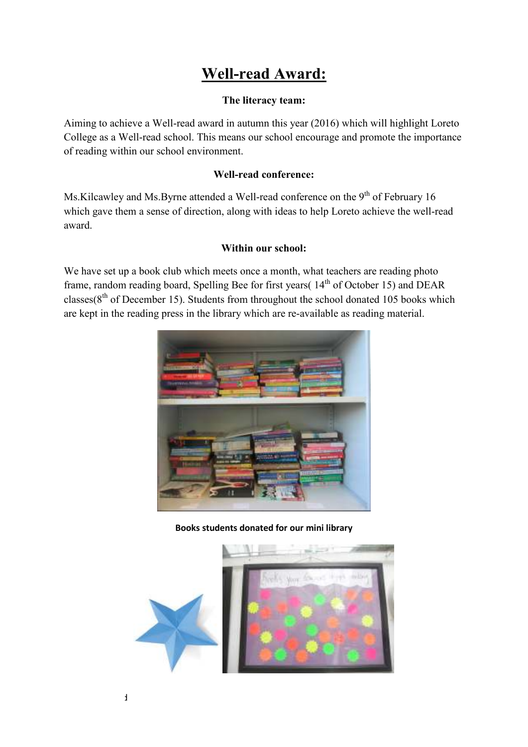# **Well-read Award:**

# **The literacy team:**

Aiming to achieve a Well-read award in autumn this year (2016) which will highlight Loreto College as a Well-read school. This means our school encourage and promote the importance of reading within our school environment.

## **Well-read conference:**

Ms.Kilcawley and Ms.Byrne attended a Well-read conference on the 9<sup>th</sup> of February 16 which gave them a sense of direction, along with ideas to help Loreto achieve the well-read award.

### **Within our school:**

We have set up a book club which meets once a month, what teachers are reading photo frame, random reading board, Spelling Bee for first years( $14<sup>th</sup>$  of October 15) and DEAR classes( $8<sup>th</sup>$  of December 15). Students from throughout the school donated 105 books which are kept in the reading press in the library which are re-available as reading material.



#### **Books students donated for our mini library**

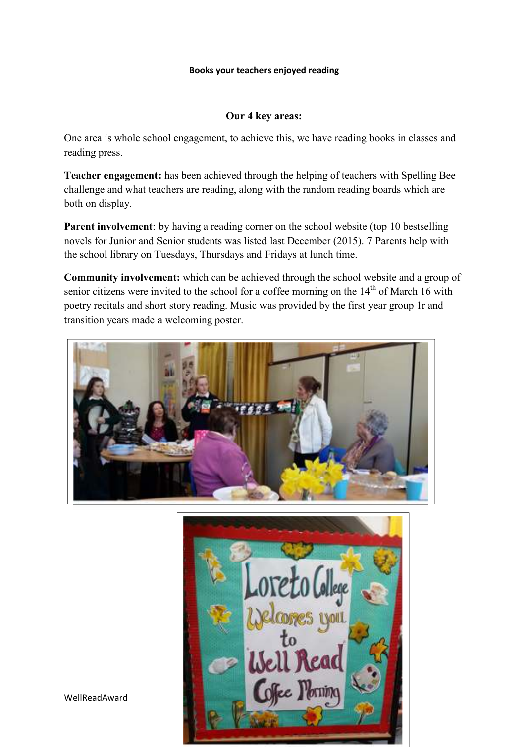#### **Books your teachers enjoyed reading**

#### **Our 4 key areas:**

One area is whole school engagement, to achieve this, we have reading books in classes and reading press.

**Teacher engagement:** has been achieved through the helping of teachers with Spelling Bee challenge and what teachers are reading, along with the random reading boards which are both on display.

**Parent involvement**: by having a reading corner on the school website (top 10 bestselling novels for Junior and Senior students was listed last December (2015). 7 Parents help with the school library on Tuesdays, Thursdays and Fridays at lunch time.

**Community involvement:** which can be achieved through the school website and a group of senior citizens were invited to the school for a coffee morning on the  $14<sup>th</sup>$  of March 16 with poetry recitals and short story reading. Music was provided by the first year group 1r and transition years made a welcoming poster.





WellReadAward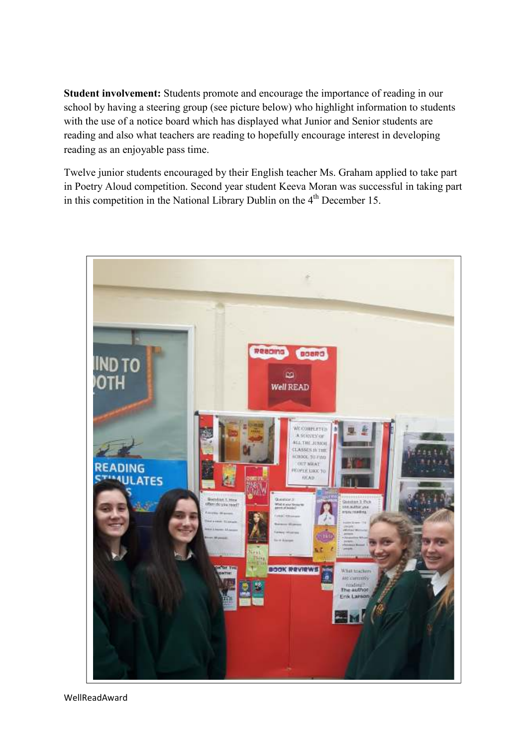**Student involvement:** Students promote and encourage the importance of reading in our school by having a steering group (see picture below) who highlight information to students with the use of a notice board which has displayed what Junior and Senior students are reading and also what teachers are reading to hopefully encourage interest in developing reading as an enjoyable pass time.

Twelve junior students encouraged by their English teacher Ms. Graham applied to take part in Poetry Aloud competition. Second year student Keeva Moran was successful in taking part in this competition in the National Library Dublin on the  $4<sup>th</sup>$  December 15.

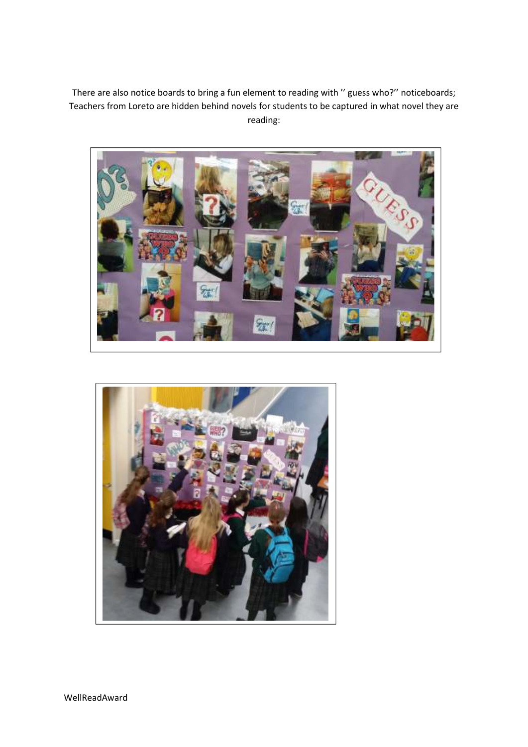There are also notice boards to bring a fun element to reading with '' guess who?'' noticeboards; Teachers from Loreto are hidden behind novels for students to be captured in what novel they are reading: